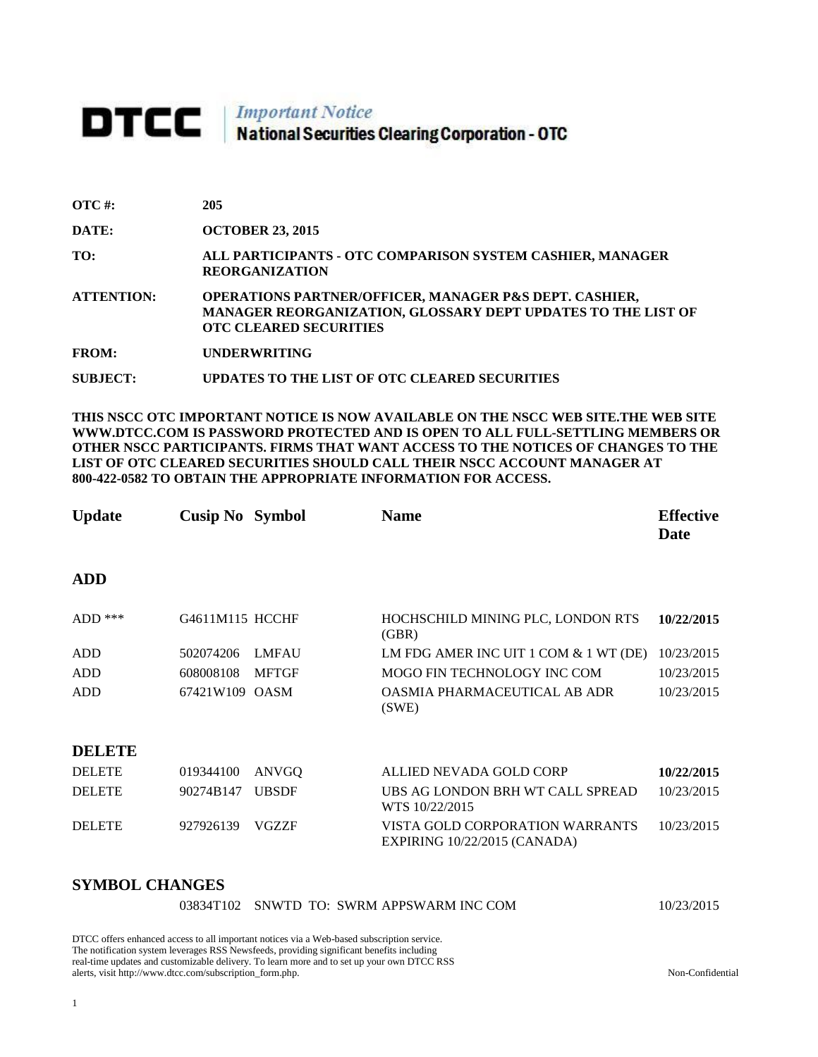# **DTCC** National Securities Clearing Corporation - OTC

| $\overline{OTC}$ #: | 205                                                                                                                                                                       |
|---------------------|---------------------------------------------------------------------------------------------------------------------------------------------------------------------------|
| DATE:               | <b>OCTOBER 23, 2015</b>                                                                                                                                                   |
| TO:                 | ALL PARTICIPANTS - OTC COMPARISON SYSTEM CASHIER, MANAGER<br><b>REORGANIZATION</b>                                                                                        |
| <b>ATTENTION:</b>   | <b>OPERATIONS PARTNER/OFFICER, MANAGER P&amp;S DEPT. CASHIER,</b><br><b>MANAGER REORGANIZATION, GLOSSARY DEPT UPDATES TO THE LIST OF</b><br><b>OTC CLEARED SECURITIES</b> |
| <b>FROM:</b>        | <b>UNDERWRITING</b>                                                                                                                                                       |
| SUBJECT:            | UPDATES TO THE LIST OF OTC CLEARED SECURITIES                                                                                                                             |

**THIS NSCC OTC IMPORTANT NOTICE IS NOW AVAILABLE ON THE NSCC WEB SITE.THE WEB SITE WWW.DTCC.COM IS PASSWORD PROTECTED AND IS OPEN TO ALL FULL-SETTLING MEMBERS OR OTHER NSCC PARTICIPANTS. FIRMS THAT WANT ACCESS TO THE NOTICES OF CHANGES TO THE LIST OF OTC CLEARED SECURITIES SHOULD CALL THEIR NSCC ACCOUNT MANAGER AT 800-422-0582 TO OBTAIN THE APPROPRIATE INFORMATION FOR ACCESS.** 

| <b>Update</b> | <b>Cusip No</b> Symbol |              | <b>Name</b>                                                     | <b>Effective</b><br>Date |
|---------------|------------------------|--------------|-----------------------------------------------------------------|--------------------------|
| <b>ADD</b>    |                        |              |                                                                 |                          |
| $ADD$ ***     | G4611M115 HCCHF        |              | HOCHSCHILD MINING PLC, LONDON RTS<br>(GBR)                      | 10/22/2015               |
| <b>ADD</b>    | 502074206              | <b>LMFAU</b> | LM FDG AMER INC UIT 1 COM & 1 WT (DE)                           | 10/23/2015               |
| <b>ADD</b>    | 608008108              | <b>MFTGF</b> | MOGO FIN TECHNOLOGY INC COM                                     | 10/23/2015               |
| <b>ADD</b>    | 67421W109 OASM         |              | OASMIA PHARMACEUTICAL AB ADR<br>(SWE)                           | 10/23/2015               |
| <b>DELETE</b> |                        |              |                                                                 |                          |
| <b>DELETE</b> | 019344100              | ANVGQ        | ALLIED NEVADA GOLD CORP                                         | 10/22/2015               |
| <b>DELETE</b> | 90274B147              | <b>UBSDF</b> | UBS AG LONDON BRH WT CALL SPREAD<br>WTS 10/22/2015              | 10/23/2015               |
| <b>DELETE</b> | 927926139              | <b>VGZZF</b> | VISTA GOLD CORPORATION WARRANTS<br>EXPIRING 10/22/2015 (CANADA) | 10/23/2015               |

### **SYMBOL CHANGES**

|  | 03834T102 SNWTD TO: SWRM APPSWARM INC COM | 10/23/2015 |
|--|-------------------------------------------|------------|
|--|-------------------------------------------|------------|

DTCC offers enhanced access to all important notices via a Web-based subscription service. The notification system leverages RSS Newsfeeds, providing significant benefits including real-time updates and customizable delivery. To learn more and to set up your own DTCC RSS alerts, visit http://www.dtcc.com/subscription\_form.php. Non-Confidential